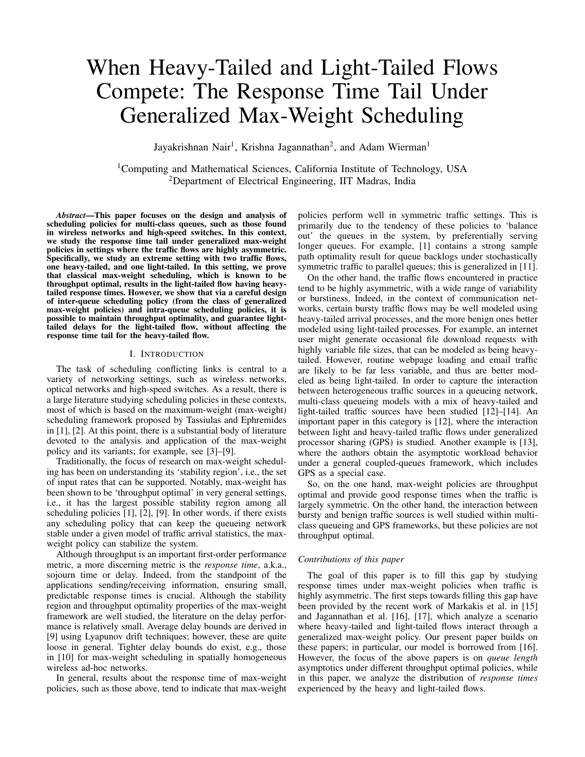# When Heavy-Tailed and Light-Tailed Flows Compete: The Response Time Tail Under Generalized Max-Weight Scheduling

Jayakrishnan Nair<sup>1</sup>, Krishna Jagannathan<sup>2</sup>, and Adam Wierman<sup>1</sup>

<sup>1</sup>Computing and Mathematical Sciences, California Institute of Technology, USA <sup>2</sup>Department of Electrical Engineering, IIT Madras, India

*Abstract*—This paper focuses on the design and analysis of scheduling policies for multi-class queues, such as those found in wireless networks and high-speed switches. In this context, we study the response time tail under generalized max-weight policies in settings where the traffic flows are highly asymmetric. Specifically, we study an extreme setting with two traffic flows, one heavy-tailed, and one light-tailed. In this setting, we prove that classical max-weight scheduling, which is known to be throughput optimal, results in the light-tailed flow having heavytailed response times. However, we show that via a careful design of inter-queue scheduling policy (from the class of generalized max-weight policies) and intra-queue scheduling policies, it is possible to maintain throughput optimality, and guarantee lighttailed delays for the light-tailed flow, without affecting the response time tail for the heavy-tailed flow.

## I. INTRODUCTION

The task of scheduling conflicting links is central to a variety of networking settings, such as wireless networks, optical networks and high-speed switches. As a result, there is a large literature studying scheduling policies in these contexts, most of which is based on the maximum-weight (max-weight) scheduling framework proposed by Tassiulas and Ephremides in [1], [2]. At this point, there is a substantial body of literature devoted to the analysis and application of the max-weight policy and its variants; for example, see [3]–[9].

Traditionally, the focus of research on max-weight scheduling has been on understanding its 'stability region', i.e., the set of input rates that can be supported. Notably, max-weight has been shown to be 'throughput optimal' in very general settings, i.e., it has the largest possible stability region among all scheduling policies [1], [2], [9]. In other words, if there exists any scheduling policy that can keep the queueing network stable under a given model of traffic arrival statistics, the maxweight policy can stabilize the system.

Although throughput is an important first-order performance metric, a more discerning metric is the *response time*, a.k.a., sojourn time or delay. Indeed, from the standpoint of the applications sending/receiving information, ensuring small, predictable response times is crucial. Although the stability region and throughput optimality properties of the max-weight framework are well studied, the literature on the delay performance is relatively small. Average delay bounds are derived in [9] using Lyapunov drift techniques; however, these are quite loose in general. Tighter delay bounds do exist, e.g., those in [10] for max-weight scheduling in spatially homogeneous wireless ad-hoc networks.

In general, results about the response time of max-weight policies, such as those above, tend to indicate that max-weight

policies perform well in symmetric traffic settings. This is primarily due to the tendency of these policies to 'balance out' the queues in the system, by preferentially serving longer queues. For example, [1] contains a strong sample path optimality result for queue backlogs under stochastically symmetric traffic to parallel queues; this is generalized in [11].

On the other hand, the traffic flows encountered in practice tend to be highly asymmetric, with a wide range of variability or burstiness. Indeed, in the context of communication networks, certain bursty traffic flows may be well modeled using heavy-tailed arrival processes, and the more benign ones better modeled using light-tailed processes. For example, an internet user might generate occasional file download requests with highly variable file sizes, that can be modeled as being heavytailed. However, routine webpage loading and email traffic are likely to be far less variable, and thus are better modeled as being light-tailed. In order to capture the interaction between heterogeneous traffic sources in a queueing network, multi-class queueing models with a mix of heavy-tailed and light-tailed traffic sources have been studied [12]–[14]. An important paper in this category is [12], where the interaction between light and heavy-tailed traffic flows under generalized processor sharing (GPS) is studied. Another example is [13], where the authors obtain the asymptotic workload behavior under a general coupled-queues framework, which includes GPS as a special case.

So, on the one hand, max-weight policies are throughput optimal and provide good response times when the traffic is largely symmetric. On the other hand, the interaction between bursty and benign traffic sources is well studied within multiclass queueing and GPS frameworks, but these policies are not throughput optimal.

## *Contributions of this paper*

The goal of this paper is to fill this gap by studying response times under max-weight policies when traffic is highly asymmetric. The first steps towards filling this gap have been provided by the recent work of Markakis et al. in [15] and Jagannathan et al. [16], [17], which analyze a scenario where heavy-tailed and light-tailed flows interact through a generalized max-weight policy. Our present paper builds on these papers; in particular, our model is borrowed from [16]. However, the focus of the above papers is on *queue length* asymptotics under different throughput optimal policies, while in this paper, we analyze the distribution of *response times* experienced by the heavy and light-tailed flows.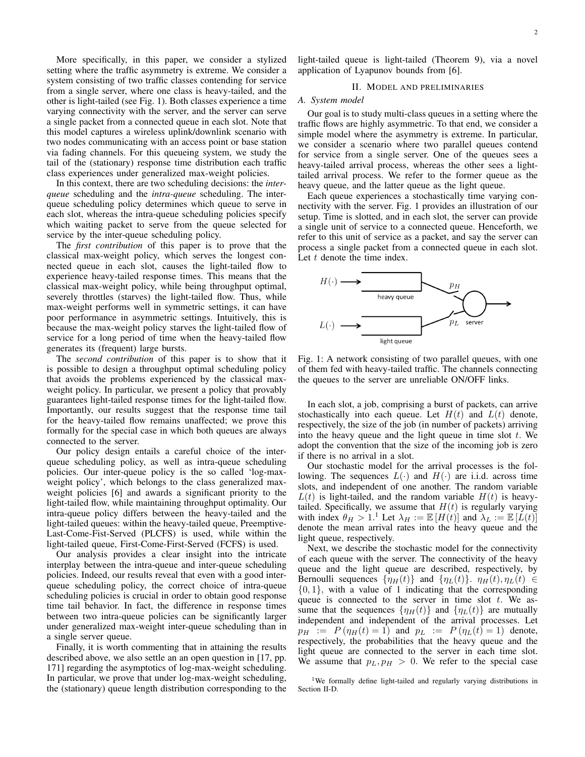More specifically, in this paper, we consider a stylized setting where the traffic asymmetry is extreme. We consider a system consisting of two traffic classes contending for service from a single server, where one class is heavy-tailed, and the other is light-tailed (see Fig. 1). Both classes experience a time varying connectivity with the server, and the server can serve a single packet from a connected queue in each slot. Note that this model captures a wireless uplink/downlink scenario with two nodes communicating with an access point or base station via fading channels. For this queueing system, we study the tail of the (stationary) response time distribution each traffic class experiences under generalized max-weight policies.

In this context, there are two scheduling decisions: the *interqueue* scheduling and the *intra-queue* scheduling. The interqueue scheduling policy determines which queue to serve in each slot, whereas the intra-queue scheduling policies specify which waiting packet to serve from the queue selected for service by the inter-queue scheduling policy.

The *first contribution* of this paper is to prove that the classical max-weight policy, which serves the longest connected queue in each slot, causes the light-tailed flow to experience heavy-tailed response times. This means that the classical max-weight policy, while being throughput optimal, severely throttles (starves) the light-tailed flow. Thus, while max-weight performs well in symmetric settings, it can have poor performance in asymmetric settings. Intuitively, this is because the max-weight policy starves the light-tailed flow of service for a long period of time when the heavy-tailed flow generates its (frequent) large bursts.

The *second contribution* of this paper is to show that it is possible to design a throughput optimal scheduling policy that avoids the problems experienced by the classical maxweight policy. In particular, we present a policy that provably guarantees light-tailed response times for the light-tailed flow. Importantly, our results suggest that the response time tail for the heavy-tailed flow remains unaffected; we prove this formally for the special case in which both queues are always connected to the server.

Our policy design entails a careful choice of the interqueue scheduling policy, as well as intra-queue scheduling policies. Our inter-queue policy is the so called 'log-maxweight policy', which belongs to the class generalized maxweight policies [6] and awards a significant priority to the light-tailed flow, while maintaining throughput optimality. Our intra-queue policy differs between the heavy-tailed and the light-tailed queues: within the heavy-tailed queue, Preemptive-Last-Come-Fist-Served (PLCFS) is used, while within the light-tailed queue, First-Come-First-Served (FCFS) is used.

Our analysis provides a clear insight into the intricate interplay between the intra-queue and inter-queue scheduling policies. Indeed, our results reveal that even with a good interqueue scheduling policy, the correct choice of intra-queue scheduling policies is crucial in order to obtain good response time tail behavior. In fact, the difference in response times between two intra-queue policies can be significantly larger under generalized max-weight inter-queue scheduling than in a single server queue.

Finally, it is worth commenting that in attaining the results described above, we also settle an an open question in [17, pp. 171] regarding the asymptotics of log-max-weight scheduling. In particular, we prove that under log-max-weight scheduling, the (stationary) queue length distribution corresponding to the light-tailed queue is light-tailed (Theorem 9), via a novel application of Lyapunov bounds from [6].

#### II. MODEL AND PRELIMINARIES

#### *A. System model*

Our goal is to study multi-class queues in a setting where the traffic flows are highly asymmetric. To that end, we consider a simple model where the asymmetry is extreme. In particular, we consider a scenario where two parallel queues contend for service from a single server. One of the queues sees a heavy-tailed arrival process, whereas the other sees a lighttailed arrival process. We refer to the former queue as the heavy queue, and the latter queue as the light queue.

Each queue experiences a stochastically time varying connectivity with the server. Fig. 1 provides an illustration of our setup. Time is slotted, and in each slot, the server can provide a single unit of service to a connected queue. Henceforth, we refer to this unit of service as a packet, and say the server can process a single packet from a connected queue in each slot. Let  $t$  denote the time index.



Fig. 1: A network consisting of two parallel queues, with one of them fed with heavy-tailed traffic. The channels connecting the queues to the server are unreliable ON/OFF links.

In each slot, a job, comprising a burst of packets, can arrive stochastically into each queue. Let  $H(t)$  and  $L(t)$  denote, respectively, the size of the job (in number of packets) arriving into the heavy queue and the light queue in time slot  $t$ . We adopt the convention that the size of the incoming job is zero if there is no arrival in a slot.

Our stochastic model for the arrival processes is the following. The sequences  $L(\cdot)$  and  $H(\cdot)$  are i.i.d. across time slots, and independent of one another. The random variable  $L(t)$  is light-tailed, and the random variable  $H(t)$  is heavytailed. Specifically, we assume that  $H(t)$  is regularly varying with index  $\theta_H > 1$ .<sup>1</sup> Let  $\lambda_H := \mathbb{E}[H(t)]$  and  $\lambda_L := \mathbb{E}[L(t)]$ denote the mean arrival rates into the heavy queue and the light queue, respectively.

Next, we describe the stochastic model for the connectivity of each queue with the server. The connectivity of the heavy queue and the light queue are described, respectively, by Bernoulli sequences  $\{\eta_H(t)\}\$  and  $\{\eta_L(t)\}\$ .  $\eta_H(t), \eta_L(t) \in$  $\{0, 1\}$ , with a value of 1 indicating that the corresponding queue is connected to the server in time slot  $t$ . We assume that the sequences  $\{\eta_H(t)\}\$  and  $\{\eta_L(t)\}\$  are mutually independent and independent of the arrival processes. Let  $p_H := P(\eta_H(t) = 1)$  and  $p_L := P(\eta_L(t) = 1)$  denote, respectively, the probabilities that the heavy queue and the light queue are connected to the server in each time slot. We assume that  $p_L, p_H > 0$ . We refer to the special case

<sup>1</sup>We formally define light-tailed and regularly varying distributions in Section II-D.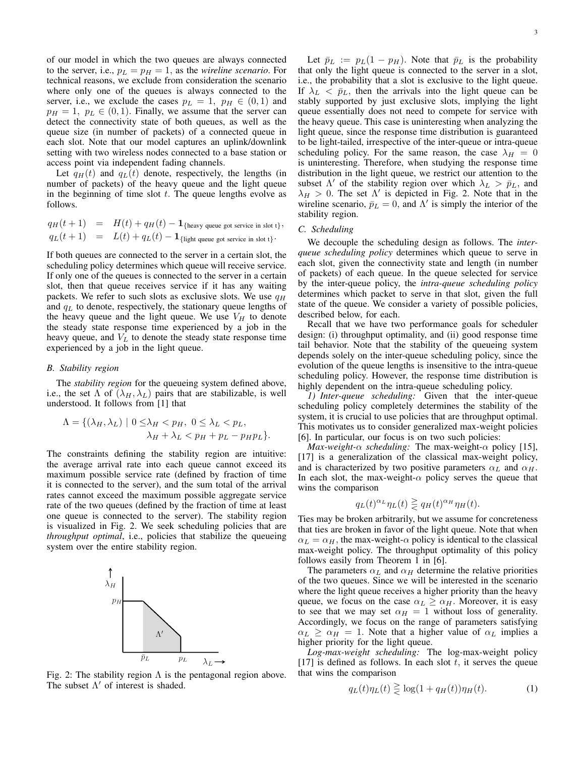of our model in which the two queues are always connected to the server, i.e.,  $p_L = p_H = 1$ , as the *wireline scenario*. For technical reasons, we exclude from consideration the scenario where only one of the queues is always connected to the server, i.e., we exclude the cases  $p_L = 1$ ,  $p_H \in (0, 1)$  and  $p_H = 1$ ,  $p_L \in (0, 1)$ . Finally, we assume that the server can detect the connectivity state of both queues, as well as the queue size (in number of packets) of a connected queue in each slot. Note that our model captures an uplink/downlink setting with two wireless nodes connected to a base station or access point via independent fading channels.

Let  $q_H(t)$  and  $q_L(t)$  denote, respectively, the lengths (in number of packets) of the heavy queue and the light queue in the beginning of time slot  $t$ . The queue lengths evolve as follows.

$$
q_H(t+1) = H(t) + q_H(t) - \mathbf{1}_{\text{{heavy queue got service in slot t}}},
$$
  
\n
$$
q_L(t+1) = L(t) + q_L(t) - \mathbf{1}_{\text{light queue got service in slot t}}.
$$

If both queues are connected to the server in a certain slot, the scheduling policy determines which queue will receive service. If only one of the queues is connected to the server in a certain slot, then that queue receives service if it has any waiting packets. We refer to such slots as exclusive slots. We use  $q_H$ and  $q_L$  to denote, respectively, the stationary queue lengths of the heavy queue and the light queue. We use  $V_H$  to denote the steady state response time experienced by a job in the heavy queue, and  $V<sub>L</sub>$  to denote the steady state response time experienced by a job in the light queue.

## *B. Stability region*

The *stability region* for the queueing system defined above, i.e., the set  $\Lambda$  of  $(\lambda_H, \lambda_L)$  pairs that are stabilizable, is well understood. It follows from [1] that

$$
\Lambda = \{ (\lambda_H, \lambda_L) \mid 0 \le \lambda_H < p_H, \ 0 \le \lambda_L < p_L, \\
\lambda_H + \lambda_L < p_H + p_L - p_H p_L \}.
$$

The constraints defining the stability region are intuitive: the average arrival rate into each queue cannot exceed its maximum possible service rate (defined by fraction of time it is connected to the server), and the sum total of the arrival rates cannot exceed the maximum possible aggregate service rate of the two queues (defined by the fraction of time at least one queue is connected to the server). The stability region is visualized in Fig. 2. We seek scheduling policies that are *throughput optimal*, i.e., policies that stabilize the queueing system over the entire stability region.



Fig. 2: The stability region  $\Lambda$  is the pentagonal region above. The subset  $\Lambda'$  of interest is shaded.

Let  $\bar{p}_L := p_L(1 - p_H)$ . Note that  $\bar{p}_L$  is the probability that only the light queue is connected to the server in a slot, i.e., the probability that a slot is exclusive to the light queue. If  $\lambda_L < \bar{p}_L$ , then the arrivals into the light queue can be stably supported by just exclusive slots, implying the light queue essentially does not need to compete for service with the heavy queue. This case is uninteresting when analyzing the light queue, since the response time distribution is guaranteed to be light-tailed, irrespective of the inter-queue or intra-queue scheduling policy. For the same reason, the case  $\lambda_H = 0$ is uninteresting. Therefore, when studying the response time distribution in the light queue, we restrict our attention to the subset  $\Lambda'$  of the stability region over which  $\lambda_L > \bar{p}_L$ , and  $\lambda_H > 0$ . The set  $\Lambda'$  is depicted in Fig. 2. Note that in the wireline scenario,  $\bar{p}_L = 0$ , and  $\Lambda'$  is simply the interior of the stability region.

#### *C. Scheduling*

We decouple the scheduling design as follows. The *interqueue scheduling policy* determines which queue to serve in each slot, given the connectivity state and length (in number of packets) of each queue. In the queue selected for service by the inter-queue policy, the *intra-queue scheduling policy* determines which packet to serve in that slot, given the full state of the queue. We consider a variety of possible policies, described below, for each.

Recall that we have two performance goals for scheduler design: (i) throughput optimality, and (ii) good response time tail behavior. Note that the stability of the queueing system depends solely on the inter-queue scheduling policy, since the evolution of the queue lengths is insensitive to the intra-queue scheduling policy. However, the response time distribution is highly dependent on the intra-queue scheduling policy.

*1) Inter-queue scheduling:* Given that the inter-queue scheduling policy completely determines the stability of the system, it is crucial to use policies that are throughput optimal. This motivates us to consider generalized max-weight policies [6]. In particular, our focus is on two such policies:

*Max-weight-*α *scheduling:* The max-weight-α policy [15], [17] is a generalization of the classical max-weight policy, and is characterized by two positive parameters  $\alpha_L$  and  $\alpha_H$ . In each slot, the max-weight- $\alpha$  policy serves the queue that wins the comparison

$$
q_L(t)^{\alpha_L} \eta_L(t) \geq q_H(t)^{\alpha_H} \eta_H(t).
$$

Ties may be broken arbitrarily, but we assume for concreteness that ties are broken in favor of the light queue. Note that when  $\alpha_L = \alpha_H$ , the max-weight- $\alpha$  policy is identical to the classical max-weight policy. The throughput optimality of this policy follows easily from Theorem 1 in [6].

The parameters  $\alpha_L$  and  $\alpha_H$  determine the relative priorities of the two queues. Since we will be interested in the scenario where the light queue receives a higher priority than the heavy queue, we focus on the case  $\alpha_L \geq \alpha_H$ . Moreover, it is easy to see that we may set  $\alpha_H = 1$  without loss of generality. Accordingly, we focus on the range of parameters satisfying  $\alpha_L \geq \alpha_H = 1$ . Note that a higher value of  $\alpha_L$  implies a higher priority for the light queue.

*Log-max-weight scheduling:* The log-max-weight policy [17] is defined as follows. In each slot  $t$ , it serves the queue that wins the comparison

$$
q_L(t)\eta_L(t) \ge \log(1 + q_H(t))\eta_H(t). \tag{1}
$$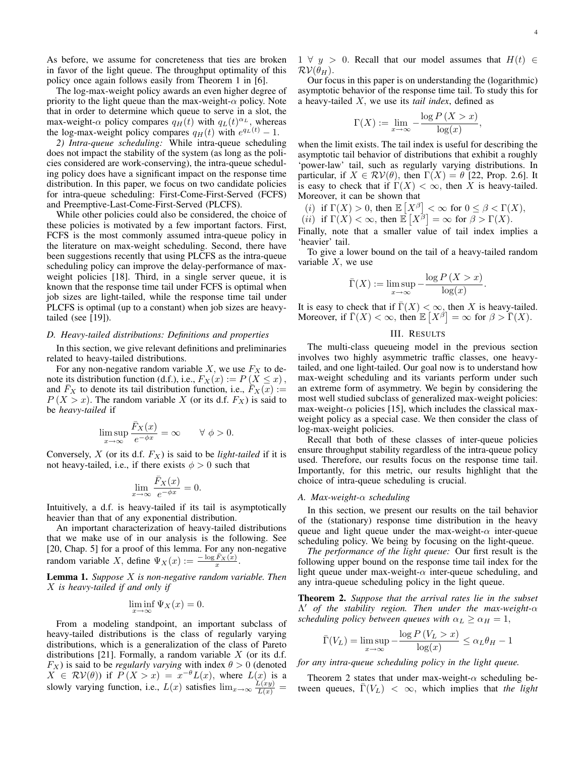As before, we assume for concreteness that ties are broken in favor of the light queue. The throughput optimality of this policy once again follows easily from Theorem 1 in [6].

The log-max-weight policy awards an even higher degree of priority to the light queue than the max-weight- $\alpha$  policy. Note that in order to determine which queue to serve in a slot, the max-weight- $\alpha$  policy compares  $q_H(t)$  with  $q_L(t)^{\alpha_L}$ , whereas the log-max-weight policy compares  $q_H(t)$  with  $e^{q_L(t)} - 1$ .

*2) Intra-queue scheduling:* While intra-queue scheduling does not impact the stability of the system (as long as the policies considered are work-conserving), the intra-queue scheduling policy does have a significant impact on the response time distribution. In this paper, we focus on two candidate policies for intra-queue scheduling: First-Come-First-Served (FCFS) and Preemptive-Last-Come-First-Served (PLCFS).

While other policies could also be considered, the choice of these policies is motivated by a few important factors. First, FCFS is the most commonly assumed intra-queue policy in the literature on max-weight scheduling. Second, there have been suggestions recently that using PLCFS as the intra-queue scheduling policy can improve the delay-performance of maxweight policies [18]. Third, in a single server queue, it is known that the response time tail under FCFS is optimal when job sizes are light-tailed, while the response time tail under PLCFS is optimal (up to a constant) when job sizes are heavytailed (see [19]).

## *D. Heavy-tailed distributions: Definitions and properties*

In this section, we give relevant definitions and preliminaries related to heavy-tailed distributions.

For any non-negative random variable  $X$ , we use  $F_X$  to denote its distribution function (d.f.), i.e.,  $F_X(x) := P(X \le x)$ , and  $\overline{F}_X$  to denote its tail distribution function, i.e.,  $\overline{F}_X(x) :=$  $P(X > x)$ . The random variable X (or its d.f.  $F_X$ ) is said to be *heavy-tailed* if

$$
\limsup_{x \to \infty} \frac{\bar{F}_X(x)}{e^{-\phi x}} = \infty \qquad \forall \phi > 0.
$$

Conversely,  $X$  (or its d.f.  $F_X$ ) is said to be *light-tailed* if it is not heavy-tailed, i.e., if there exists  $\phi > 0$  such that

$$
\lim_{x \to \infty} \frac{\bar{F}_X(x)}{e^{-\phi x}} = 0.
$$

Intuitively, a d.f. is heavy-tailed if its tail is asymptotically heavier than that of any exponential distribution.

An important characterization of heavy-tailed distributions that we make use of in our analysis is the following. See [20, Chap. 5] for a proof of this lemma. For any non-negative random variable X, define  $\Psi_X(x) := \frac{-\log \bar{F}_X(x)}{x}$ .

Lemma 1. *Suppose* X *is non-negative random variable. Then* X *is heavy-tailed if and only if*

$$
\liminf_{x \to \infty} \Psi_X(x) = 0.
$$

From a modeling standpoint, an important subclass of heavy-tailed distributions is the class of regularly varying distributions, which is a generalization of the class of Pareto distributions [21]. Formally, a random variable  $X$  (or its d.f.  $F_X$ ) is said to be *regularly varying* with index  $\theta > 0$  (denoted  $X \in \mathcal{RV}(\theta)$  if  $P(X > x) = x^{-\theta}L(x)$ , where  $L(x)$  is a slowly varying function, i.e.,  $L(x)$  satisfies  $\lim_{x\to\infty} \frac{L(xy)}{L(x)}$  =  $1 \forall y > 0$ . Recall that our model assumes that  $H(t) \in$  $\mathcal{RV}(\theta_H)$ .

Our focus in this paper is on understanding the (logarithmic) asymptotic behavior of the response time tail. To study this for a heavy-tailed X, we use its *tail index*, defined as

$$
\Gamma(X) := \lim_{x \to \infty} -\frac{\log P(X > x)}{\log(x)},
$$

when the limit exists. The tail index is useful for describing the asymptotic tail behavior of distributions that exhibit a roughly 'power-law' tail, such as regularly varying distributions. In particular, if  $X \in \mathcal{RV}(\theta)$ , then  $\Gamma(X) = \theta$  [22, Prop. 2.6]. It is easy to check that if  $\Gamma(X) < \infty$ , then X is heavy-tailed. Moreover, it can be shown that

(*i*) if  $\Gamma(X) > 0$ , then  $\mathbb{E}[X^{\beta}] < \infty$  for  $0 \le \beta < \Gamma(X)$ , (*ii*) if  $\Gamma(X) < \infty$ , then  $\mathbb{E}[X^{\beta}] = \infty$  for  $\beta > \Gamma(X)$ .

Finally, note that a smaller value of tail index implies a 'heavier' tail.

To give a lower bound on the tail of a heavy-tailed random variable  $X$ , we use

$$
\bar{\Gamma}(X) := \limsup_{x \to \infty} -\frac{\log P(X > x)}{\log(x)}
$$

.

It is easy to check that if  $\overline{\Gamma}(X) < \infty$ , then X is heavy-tailed. Moreover, if  $\bar{\Gamma}(X) < \infty$ , then  $\mathbb{E}[X^{\beta}] = \infty$  for  $\beta > \bar{\Gamma}(X)$ .

# III. RESULTS

The multi-class queueing model in the previous section involves two highly asymmetric traffic classes, one heavytailed, and one light-tailed. Our goal now is to understand how max-weight scheduling and its variants perform under such an extreme form of asymmetry. We begin by considering the most well studied subclass of generalized max-weight policies: max-weight- $\alpha$  policies [15], which includes the classical maxweight policy as a special case. We then consider the class of log-max-weight policies.

Recall that both of these classes of inter-queue policies ensure throughput stability regardless of the intra-queue policy used. Therefore, our results focus on the response time tail. Importantly, for this metric, our results highlight that the choice of intra-queue scheduling is crucial.

## *A. Max-weight-*α *scheduling*

In this section, we present our results on the tail behavior of the (stationary) response time distribution in the heavy queue and light queue under the max-weight- $\alpha$  inter-queue scheduling policy. We being by focusing on the light-queue.

*The performance of the light queue:* Our first result is the following upper bound on the response time tail index for the light queue under max-weight- $\alpha$  inter-queue scheduling, and any intra-queue scheduling policy in the light queue.

Theorem 2. *Suppose that the arrival rates lie in the subset* Λ <sup>0</sup> *of the stability region. Then under the max-weight-*α *scheduling policy between queues with*  $\alpha_L \ge \alpha_H = 1$ ,

$$
\bar{\Gamma}(V_L) = \limsup_{x \to \infty} -\frac{\log P(V_L > x)}{\log(x)} \le \alpha_L \theta_H - 1
$$

*for any intra-queue scheduling policy in the light queue.*

Theorem 2 states that under max-weight- $\alpha$  scheduling between queues,  $\overline{\Gamma}(V_L) < \infty$ , which implies that *the light*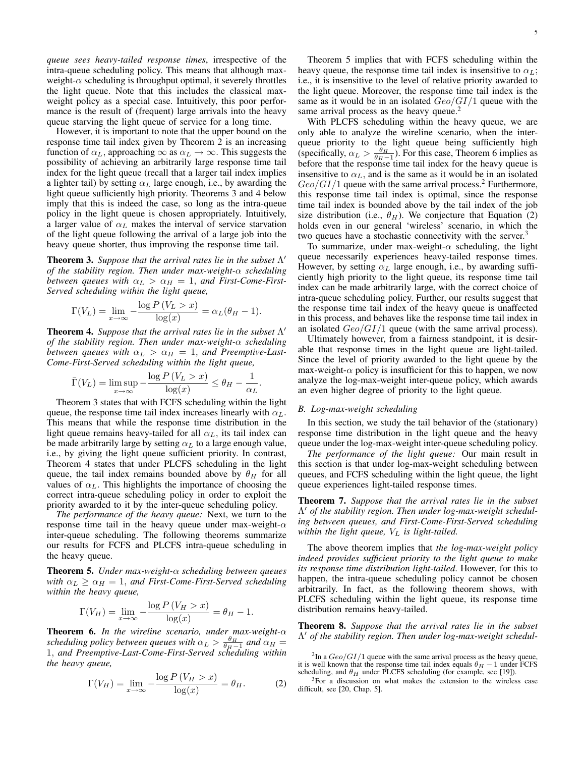*queue sees heavy-tailed response times*, irrespective of the intra-queue scheduling policy. This means that although maxweight- $\alpha$  scheduling is throughput optimal, it severely throttles the light queue. Note that this includes the classical maxweight policy as a special case. Intuitively, this poor performance is the result of (frequent) large arrivals into the heavy queue starving the light queue of service for a long time.

However, it is important to note that the upper bound on the response time tail index given by Theorem 2 is an increasing function of  $\alpha_L$ , approaching  $\infty$  as  $\alpha_L \to \infty$ . This suggests the possibility of achieving an arbitrarily large response time tail index for the light queue (recall that a larger tail index implies a lighter tail) by setting  $\alpha_L$  large enough, i.e., by awarding the light queue sufficiently high priority. Theorems 3 and 4 below imply that this is indeed the case, so long as the intra-queue policy in the light queue is chosen appropriately. Intuitively, a larger value of  $\alpha_L$  makes the interval of service starvation of the light queue following the arrival of a large job into the heavy queue shorter, thus improving the response time tail.

**Theorem 3.** Suppose that the arrival rates lie in the subset  $\Lambda'$ *of the stability region. Then under max-weight-*α *scheduling between queues with*  $\alpha_L > \alpha_H = 1$ , *and First-Come-First-Served scheduling within the light queue,*

$$
\Gamma(V_L) = \lim_{x \to \infty} -\frac{\log P(V_L > x)}{\log(x)} = \alpha_L(\theta_H - 1).
$$

**Theorem 4.** Suppose that the arrival rates lie in the subset  $\Lambda'$ *of the stability region. Then under max-weight-*α *scheduling between queues with*  $\alpha_L > \alpha_H = 1$ , *and Preemptive-Last-Come-First-Served scheduling within the light queue,*

$$
\bar{\Gamma}(V_L) = \limsup_{x \to \infty} -\frac{\log P(V_L > x)}{\log(x)} \le \theta_H - \frac{1}{\alpha_L}
$$

.

Theorem 3 states that with FCFS scheduling within the light queue, the response time tail index increases linearly with  $\alpha_L$ . This means that while the response time distribution in the light queue remains heavy-tailed for all  $\alpha_L$ , its tail index can be made arbitrarily large by setting  $\alpha_L$  to a large enough value, i.e., by giving the light queue sufficient priority. In contrast, Theorem 4 states that under PLCFS scheduling in the light queue, the tail index remains bounded above by  $\theta_H$  for all values of  $\alpha_L$ . This highlights the importance of choosing the correct intra-queue scheduling policy in order to exploit the priority awarded to it by the inter-queue scheduling policy.

*The performance of the heavy queue:* Next, we turn to the response time tail in the heavy queue under max-weight- $\alpha$ inter-queue scheduling. The following theorems summarize our results for FCFS and PLCFS intra-queue scheduling in the heavy queue.

Theorem 5. *Under max-weight-*α *scheduling between queues with*  $\alpha_L \geq \alpha_H = 1$ , *and First-Come-First-Served scheduling within the heavy queue,*

$$
\Gamma(V_H) = \lim_{x \to \infty} -\frac{\log P(V_H > x)}{\log(x)} = \theta_H - 1.
$$

Theorem 6. *In the wireline scenario, under max-weight-*α *scheduling policy between queues with*  $\alpha_L > \frac{\theta_H}{\theta_H-1}$  and  $\alpha_H =$ 1, *and Preemptive-Last-Come-First-Served scheduling within the heavy queue,*

$$
\Gamma(V_H) = \lim_{x \to \infty} -\frac{\log P(V_H > x)}{\log(x)} = \theta_H.
$$
 (2)

Theorem 5 implies that with FCFS scheduling within the heavy queue, the response time tail index is insensitive to  $\alpha_L$ ; i.e., it is insensitive to the level of relative priority awarded to the light queue. Moreover, the response time tail index is the same as it would be in an isolated  $Geo/GI/1$  queue with the same arrival process as the heavy queue.<sup>2</sup>

With PLCFS scheduling within the heavy queue, we are only able to analyze the wireline scenario, when the interqueue priority to the light queue being sufficiently high (specifically,  $\alpha_L > \frac{\theta_H}{\theta_H - 1}$ ). For this case, Theorem 6 implies as before that the response time tail index for the heavy queue is insensitive to  $\alpha_L$ , and is the same as it would be in an isolated  $Geo/GI/1$  queue with the same arrival process.<sup>2</sup> Furthermore, this response time tail index is optimal, since the response time tail index is bounded above by the tail index of the job size distribution (i.e.,  $\theta_H$ ). We conjecture that Equation (2) holds even in our general 'wireless' scenario, in which the two queues have a stochastic connectivity with the server.<sup>3</sup>

To summarize, under max-weight- $\alpha$  scheduling, the light queue necessarily experiences heavy-tailed response times. However, by setting  $\alpha_L$  large enough, i.e., by awarding sufficiently high priority to the light queue, its response time tail index can be made arbitrarily large, with the correct choice of intra-queue scheduling policy. Further, our results suggest that the response time tail index of the heavy queue is unaffected in this process, and behaves like the response time tail index in an isolated  $Geo/GI/1$  queue (with the same arrival process).

Ultimately however, from a fairness standpoint, it is desirable that response times in the light queue are light-tailed. Since the level of priority awarded to the light queue by the max-weight- $\alpha$  policy is insufficient for this to happen, we now analyze the log-max-weight inter-queue policy, which awards an even higher degree of priority to the light queue.

# *B. Log-max-weight scheduling*

In this section, we study the tail behavior of the (stationary) response time distribution in the light queue and the heavy queue under the log-max-weight inter-queue scheduling policy.

*The performance of the light queue:* Our main result in this section is that under log-max-weight scheduling between queues, and FCFS scheduling within the light queue, the light queue experiences light-tailed response times.

Theorem 7. *Suppose that the arrival rates lie in the subset* Λ <sup>0</sup> *of the stability region. Then under log-max-weight scheduling between queues, and First-Come-First-Served scheduling within the light queue,*  $V_L$  *is light-tailed.* 

The above theorem implies that *the log-max-weight policy indeed provides sufficient priority to the light queue to make its response time distribution light-tailed*. However, for this to happen, the intra-queue scheduling policy cannot be chosen arbitrarily. In fact, as the following theorem shows, with PLCFS scheduling within the light queue, its response time distribution remains heavy-tailed.

Theorem 8. *Suppose that the arrival rates lie in the subset* Λ <sup>0</sup> *of the stability region. Then under log-max-weight schedul-*

<sup>&</sup>lt;sup>2</sup>In a  $Geo/GI/1$  queue with the same arrival process as the heavy queue, it is well known that the response time tail index equals  $\theta_H - 1$  under FCFS scheduling, and  $\theta_H$  under PLCFS scheduling (for example, see [19]).

<sup>&</sup>lt;sup>3</sup>For a discussion on what makes the extension to the wireless case difficult, see [20, Chap. 5].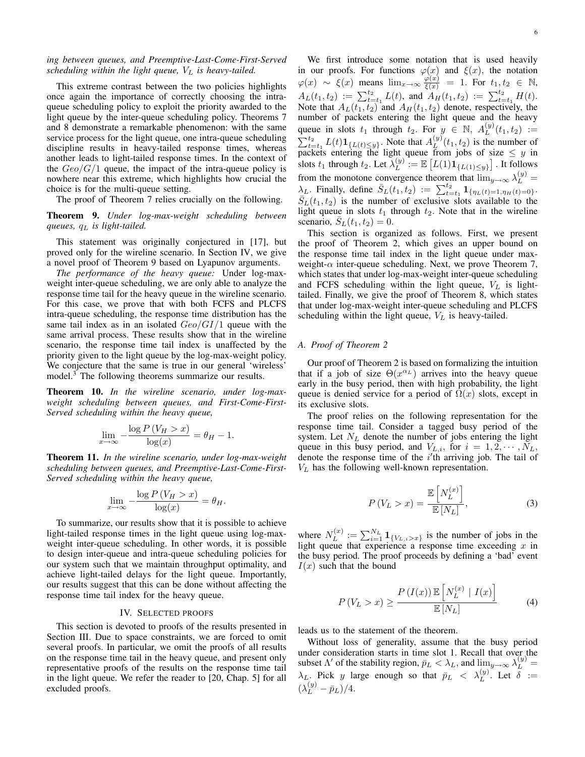# *ing between queues, and Preemptive-Last-Come-First-Served scheduling within the light queue,*  $V_L$  *is heavy-tailed.*

This extreme contrast between the two policies highlights once again the importance of correctly choosing the intraqueue scheduling policy to exploit the priority awarded to the light queue by the inter-queue scheduling policy. Theorems 7 and 8 demonstrate a remarkable phenomenon: with the same service process for the light queue, one intra-queue scheduling discipline results in heavy-tailed response times, whereas another leads to light-tailed response times. In the context of the  $Geo/G/1$  queue, the impact of the intra-queue policy is nowhere near this extreme, which highlights how crucial the choice is for the multi-queue setting.

The proof of Theorem 7 relies crucially on the following.

# Theorem 9. *Under log-max-weight scheduling between queues,* q<sup>L</sup> *is light-tailed.*

This statement was originally conjectured in [17], but proved only for the wireline scenario. In Section IV, we give a novel proof of Theorem 9 based on Lyapunov arguments.

*The performance of the heavy queue:* Under log-maxweight inter-queue scheduling, we are only able to analyze the response time tail for the heavy queue in the wireline scenario. For this case, we prove that with both FCFS and PLCFS intra-queue scheduling, the response time distribution has the same tail index as in an isolated  $Geo/GI/1$  queue with the same arrival process. These results show that in the wireline scenario, the response time tail index is unaffected by the priority given to the light queue by the log-max-weight policy. We conjecture that the same is true in our general 'wireless' model.<sup>3</sup> The following theorems summarize our results.

Theorem 10. *In the wireline scenario, under log-maxweight scheduling between queues, and First-Come-First-Served scheduling within the heavy queue,*

$$
\lim_{x \to \infty} -\frac{\log P(V_H > x)}{\log(x)} = \theta_H - 1.
$$

Theorem 11. *In the wireline scenario, under log-max-weight scheduling between queues, and Preemptive-Last-Come-First-Served scheduling within the heavy queue,*

$$
\lim_{x \to \infty} -\frac{\log P(V_H > x)}{\log(x)} = \theta_H.
$$

To summarize, our results show that it is possible to achieve light-tailed response times in the light queue using log-maxweight inter-queue scheduling. In other words, it is possible to design inter-queue and intra-queue scheduling policies for our system such that we maintain throughput optimality, and achieve light-tailed delays for the light queue. Importantly, our results suggest that this can be done without affecting the response time tail index for the heavy queue.

### IV. SELECTED PROOFS

This section is devoted to proofs of the results presented in Section III. Due to space constraints, we are forced to omit several proofs. In particular, we omit the proofs of all results on the response time tail in the heavy queue, and present only representative proofs of the results on the response time tail in the light queue. We refer the reader to [20, Chap. 5] for all excluded proofs.

We first introduce some notation that is used heavily in our proofs. For functions  $\varphi(x)$  and  $\xi(x)$ , the notation  $\varphi(x) \sim \xi(x)$  means  $\lim_{x\to\infty} \frac{\varphi(x)}{\xi(x)} = 1$ . For  $t_1, t_2 \in \mathbb{N}$ ,  $A_L(t_1, t_2) := \sum_{t=t_1}^{t_2} L(t)$ , and  $A_H(t_1, t_2) := \sum_{t=t_1}^{t_2} H(t)$ . Note that  $A_L(t_1, t_2)$  and  $A_H(t_1, t_2)$  denote, respectively, the number of packets entering the light queue and the heavy queue in slots  $t_1$  through  $t_2$ . For  $y \in \mathbb{N}$ ,  $A_L^{(y)}(t_1, t_2) :=$  $\sum_{t=t_1}^{t_2} L(t) \mathbf{1}_{\{L(t) \leq y\}}$ . Note that  $A_L^{(y)}$  $L^{(y)}(t_1, t_2)$  is the number of packets entering the light queue from jobs of size  $\leq y$  in slots  $t_1$  through  $t_2$ . Let  $\lambda_L^{(y)}$  $L^{(y)}_{L}:=\mathbb{E}\left[ L(1) \mathbf{1}_{\{L(1)\le y\}}\right]$  . It follows from the monotone convergence theorem that  $\lim_{y\to\infty} \lambda_L^{(y)} =$  $\lambda_L$ . Finally, define  $\bar{S}_L(t_1, t_2) := \sum_{t=t_1}^{t_2} \mathbf{1}_{\{\eta_L(t)=1, \eta_H(t)=0\}}$ .  $\overline{S}_L(t_1, t_2)$  is the number of exclusive slots available to the light queue in slots  $t_1$  through  $t_2$ . Note that in the wireline scenario,  $S_L(t_1, t_2) = 0$ .

This section is organized as follows. First, we present the proof of Theorem 2, which gives an upper bound on the response time tail index in the light queue under maxweight- $\alpha$  inter-queue scheduling. Next, we prove Theorem 7, which states that under log-max-weight inter-queue scheduling and FCFS scheduling within the light queue,  $V_L$  is lighttailed. Finally, we give the proof of Theorem 8, which states that under log-max-weight inter-queue scheduling and PLCFS scheduling within the light queue,  $V_L$  is heavy-tailed.

## *A. Proof of Theorem 2*

Our proof of Theorem 2 is based on formalizing the intuition that if a job of size  $\Theta(x^{\alpha_L})$  arrives into the heavy queue early in the busy period, then with high probability, the light queue is denied service for a period of  $\Omega(x)$  slots, except in its exclusive slots.

The proof relies on the following representation for the response time tail. Consider a tagged busy period of the system. Let  $N_L$  denote the number of jobs entering the light queue in this busy period, and  $V_{L,i}$ , for  $i = 1, 2, \dots, N_L$ , denote the response time of the  $i$ <sup>th</sup> arriving job. The tail of  $V_L$  has the following well-known representation.

$$
P(V_L > x) = \frac{\mathbb{E}\left[N_L^{(x)}\right]}{\mathbb{E}\left[N_L\right]},\tag{3}
$$

where  $N_L^{(x)}$  $L_L^{(x)} := \sum_{i=1}^{N_L} \mathbf{1}_{\{V_{L,i} > x\}}$  is the number of jobs in the light queue that experience a response time exceeding  $x$  in the busy period. The proof proceeds by defining a 'bad' event  $I(x)$  such that the bound

$$
P(V_L > x) \ge \frac{P(I(x)) \mathbb{E}\left[N_L^{(x)} \mid I(x)\right]}{\mathbb{E}\left[N_L\right]} \tag{4}
$$

leads us to the statement of the theorem.

Without loss of generality, assume that the busy period under consideration starts in time slot 1. Recall that over the subset  $\Lambda'$  of the stability region,  $\bar{p}_L < \lambda_L$ , and  $\lim_{y \to \infty} \lambda_L^{(y)} =$  $\lambda_L$ . Pick y large enough so that  $\bar{p}_L < \lambda_L^{(y)}$ . Let  $\bar{\delta} :=$  $(\lambda_L^{(y)} - \bar{p}_L)/4.$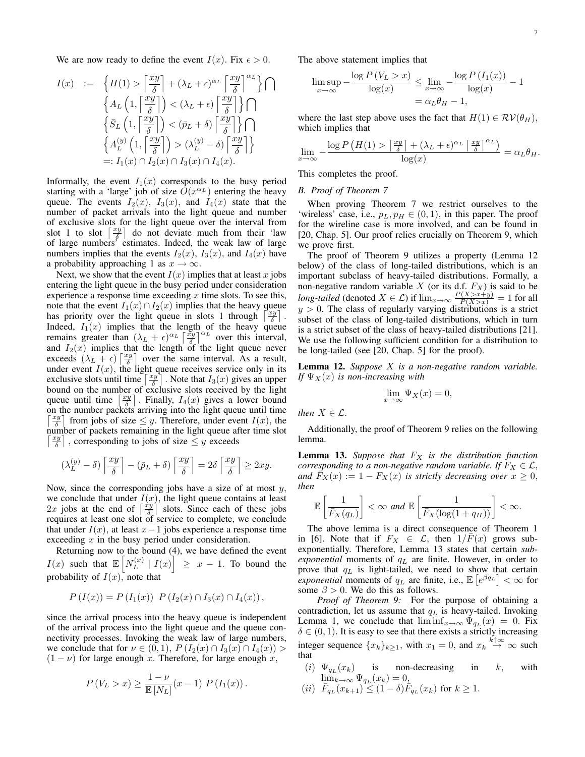We are now ready to define the event  $I(x)$ . Fix  $\epsilon > 0$ .

$$
I(x) := \left\{ H(1) > \left\lceil \frac{xy}{\delta} \right\rceil + (\lambda_L + \epsilon)^{\alpha_L} \left\lceil \frac{xy}{\delta} \right\rceil^{\alpha_L} \right\} \bigcap
$$
  

$$
\left\{ A_L \left( 1, \left\lceil \frac{xy}{\delta} \right\rceil \right) < (\lambda_L + \epsilon) \left\lceil \frac{xy}{\delta} \right\rceil \right\} \bigcap
$$
  

$$
\left\{ \bar{S}_L \left( 1, \left\lceil \frac{xy}{\delta} \right\rceil \right) < (\bar{p}_L + \delta) \left\lceil \frac{xy}{\delta} \right\rceil \right\} \bigcap
$$
  

$$
\left\{ A_L^{(y)} \left( 1, \left\lceil \frac{xy}{\delta} \right\rceil \right) > (\lambda_L^{(y)} - \delta) \left\lceil \frac{xy}{\delta} \right\rceil \right\}
$$
  

$$
=: I_1(x) \cap I_2(x) \cap I_3(x) \cap I_4(x).
$$

Informally, the event  $I_1(x)$  corresponds to the busy period starting with a 'large' job of size  $\hat{O}(x^{\alpha})$  entering the heavy queue. The events  $I_2(x)$ ,  $I_3(x)$ , and  $I_4(x)$  state that the number of packet arrivals into the light queue and number of exclusive slots for the light queue over the interval from slot 1 to slot  $\left\lceil \frac{xy}{\delta} \right\rceil$  do not deviate much from their 'law of large numbers' estimates. Indeed, the weak law of large numbers implies that the events  $I_2(x)$ ,  $I_3(x)$ , and  $I_4(x)$  have a probability approaching 1 as  $x \to \infty$ .

Next, we show that the event  $I(x)$  implies that at least x jobs entering the light queue in the busy period under consideration experience a response time exceeding  $x$  time slots. To see this, note that the event  $I_1(x) \cap I_2(x)$  implies that the heavy queue has priority over the light queue in slots 1 through  $\left\lceil \frac{xy}{\delta} \right\rceil$ . Indeed,  $I_1(x)$  implies that the length of the heavy queue remains greater than  $(\lambda_L + \epsilon)^{\alpha_L} \left[ \frac{xy}{\delta} \right]^{\alpha_L}$  over this interval, and  $I_2(x)$  implies that the length of the light queue never exceeds  $(\lambda_L + \epsilon) \left[ \frac{xy}{\delta} \right]$  over the same interval. As a result, under event  $I(x)$ , the light queue receives service only in its exclusive slots until time  $\left[\frac{xy}{\delta}\right]$ . Note that  $I_3(x)$  gives an upper bound on the number of exclusive slots received by the light queue until time  $\left[\frac{xy}{\delta}\right]$ . Finally,  $I_4(x)$  gives a lower bound on the number packets arriving into the light queue until time  $\lceil \frac{xy}{\delta} \rceil$  from jobs of size  $\leq y$ . Therefore, under event  $I(x)$ , the number of packets remaining in the light queue after time slot  $\lceil \frac{xy}{\delta} \rceil$ , corresponding to jobs of size  $\leq y$  exceeds

$$
(\lambda_L^{(y)} - \delta) \left\lceil \frac{xy}{\delta} \right\rceil - (\bar{p}_L + \delta) \left\lceil \frac{xy}{\delta} \right\rceil = 2\delta \left\lceil \frac{xy}{\delta} \right\rceil \ge 2xy.
$$

Now, since the corresponding jobs have a size of at most  $y$ , we conclude that under  $I(x)$ , the light queue contains at least 2x jobs at the end of  $\left[\frac{\dot{x}y}{\delta}\right]$  slots. Since each of these jobs requires at least one slot of service to complete, we conclude that under  $I(x)$ , at least  $x-1$  jobs experience a response time exceeding  $x$  in the busy period under consideration.

Returning now to the bound (4), we have defined the event  $I(x)$  such that  $\mathbb{E}\left[N_L^{(x)}\right]$  $\left[\begin{array}{c} (x) \\ L \end{array} \right] I(x)$   $\geq x - 1$ . To bound the probability of  $I(x)$ , note that

$$
P(I(x)) = P(I_1(x)) P(I_2(x) \cap I_3(x) \cap I_4(x)),
$$

since the arrival process into the heavy queue is independent of the arrival process into the light queue and the queue connectivity processes. Invoking the weak law of large numbers, we conclude that for  $\nu \in (0,1)$ ,  $P(I_2(x) \cap I_3(x) \cap I_4(x))$  $(1 - \nu)$  for large enough x. Therefore, for large enough x,

$$
P(V_L > x) \ge \frac{1 - \nu}{\mathbb{E}[N_L]}(x - 1) P(I_1(x)).
$$

The above statement implies that

$$
\limsup_{x \to \infty} -\frac{\log P(V_L > x)}{\log(x)} \le \lim_{x \to \infty} -\frac{\log P(I_1(x))}{\log(x)} - 1
$$

$$
= \alpha_L \theta_H - 1,
$$

where the last step above uses the fact that  $H(1) \in \mathcal{RV}(\theta_H)$ , which implies that

$$
\lim_{x \to \infty} -\frac{\log P\left(H(1) > \left\lceil \frac{xy}{\delta} \right\rceil + (\lambda_L + \epsilon)^{\alpha_L} \left\lceil \frac{xy}{\delta} \right\rceil^{\alpha_L}\right)}{\log(x)} = \alpha_L \theta_H.
$$

This completes the proof.

## *B. Proof of Theorem 7*

When proving Theorem 7 we restrict ourselves to the 'wireless' case, i.e.,  $p_L, p_H \in (0, 1)$ , in this paper. The proof for the wireline case is more involved, and can be found in [20, Chap. 5]. Our proof relies crucially on Theorem 9, which we prove first.

The proof of Theorem 9 utilizes a property (Lemma 12 below) of the class of long-tailed distributions, which is an important subclass of heavy-tailed distributions. Formally, a non-negative random variable X (or its d.f.  $F_X$ ) is said to be *long-tailed* (denoted  $X \in \mathcal{L}$ ) if  $\lim_{x \to \infty} \frac{P(X > x + y)}{P(X > x)} = 1$  for all  $y > 0$ . The class of regularly varying distributions is a strict subset of the class of long-tailed distributions, which in turn is a strict subset of the class of heavy-tailed distributions [21]. We use the following sufficient condition for a distribution to be long-tailed (see [20, Chap. 5] for the proof).

Lemma 12. *Suppose* X *is a non-negative random variable. If*  $\Psi_X(x)$  *is non-increasing with* 

$$
\lim_{x \to \infty} \Psi_X(x) = 0,
$$

*then*  $X \in \mathcal{L}$ .

Additionally, the proof of Theorem 9 relies on the following lemma.

**Lemma 13.** Suppose that  $F_X$  is the distribution function *corresponding to a non-negative random variable. If*  $F_X \in \mathcal{L}$ , *and*  $F_X(x) := 1 - F_X(x)$  *is strictly decreasing over*  $x \geq 0$ , *then*

$$
\mathbb{E}\left[\frac{1}{\bar{F}_X(q_L)}\right] < \infty \text{ and } \mathbb{E}\left[\frac{1}{\bar{F}_X(\log(1+q_H))}\right] < \infty.
$$

The above lemma is a direct consequence of Theorem 1 in [6]. Note that if  $F_X \in \mathcal{L}$ , then  $1/\overline{F}(x)$  grows subexponentially. Therefore, Lemma 13 states that certain *subexponential* moments of  $q_L$  are finite. However, in order to prove that  $q_L$  is light-tailed, we need to show that certain *exponential* moments of  $q_L$  are finite, i.e.,  $\mathbb{E}\left[e^{\beta q_L}\right] < \infty$  for some  $\beta > 0$ . We do this as follows.

*Proof of Theorem 9:* For the purpose of obtaining a contradiction, let us assume that  $q_L$  is heavy-tailed. Invoking Lemma 1, we conclude that  $\liminf_{x\to\infty} \Psi_{q_L}(x) = 0$ . Fix  $\delta \in (0, 1)$ . It is easy to see that there exists a strictly increasing integer sequence  $\{x_k\}_{k\geq 1}$ , with  $x_1 = 0$ , and  $x_k \stackrel{k \uparrow \infty}{\rightarrow} \infty$  such that

- $(i) \Psi_{q_L}(x_k)$  is  $non-decreasing$  in  $k$ , with  $\lim_{k \to \infty} \Psi_{q_L}(x_k) = 0,$
- $(ii)$   $\overline{F}_{q_L}(x_{k+1}) \leq (1-\delta)\overline{F}_{q_L}(x_k)$  for  $k \geq 1$ .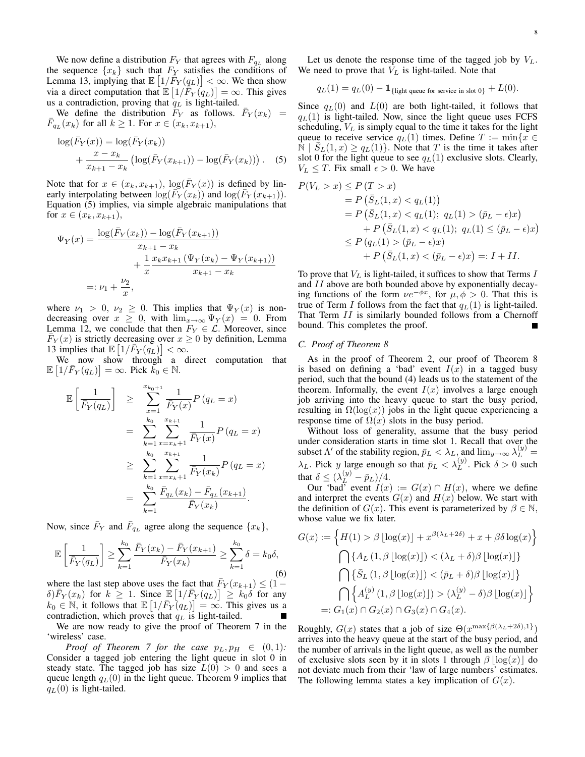We now define a distribution  $F_Y$  that agrees with  $F_{q_L}$  along the sequence  $\{x_k\}$  such that  $F_Y$  satisfies the conditions of Lemma 13, implying that  $\mathbb{E} \left[1/\bar{F}_Y(q_L)\right] < \infty$ . We then show via a direct computation that  $\mathbb{E} \left[1/\bar{F}_Y(q_L)\right] = \infty$ . This gives us a contradiction, proving that  $q_L$  is light-tailed.

We define the distribution  $F_Y$  as follows.  $\bar{F}_Y(x_k)$  =  $\overline{F}_{q_L}(x_k)$  for all  $k \geq 1$ . For  $x \in (x_k, x_{k+1}),$ 

$$
\log(\bar{F}_Y(x)) = \log(\bar{F}_Y(x_k)) + \frac{x - x_k}{x_{k+1} - x_k} \left( \log(\bar{F}_Y(x_{k+1})) - \log(\bar{F}_Y(x_k)) \right).
$$
 (5)

Note that for  $x \in (x_k, x_{k+1})$ ,  $\log(\bar{F}_Y(x))$  is defined by linearly interpolating between  $\log(\widetilde{F}_Y(x_k))$  and  $\log(\overline{F}_Y(x_{k+1}))$ . Equation (5) implies, via simple algebraic manipulations that for  $x \in (x_k, x_{k+1}),$ 

$$
\Psi_Y(x) = \frac{\log(\bar{F}_Y(x_k)) - \log(\bar{F}_Y(x_{k+1}))}{x_{k+1} - x_k} \n+ \frac{1}{x} \frac{x_k x_{k+1} (\Psi_Y(x_k) - \Psi_Y(x_{k+1}))}{x_{k+1} - x_k} \n=:\nu_1 + \frac{\nu_2}{x},
$$

where  $\nu_1 > 0$ ,  $\nu_2 \geq 0$ . This implies that  $\Psi_Y(x)$  is nondecreasing over  $x \geq 0$ , with  $\lim_{x\to\infty} \Psi_Y(x) = 0$ . From Lemma 12, we conclude that then  $F_Y \in \mathcal{L}$ . Moreover, since  $\overline{F}_Y(x)$  is strictly decreasing over  $x \ge 0$  by definition, Lemma 13 implies that  $\mathbb{E}[1/\bar{F}_Y(q_L)] < \infty$ .

We now show through a direct computation that  $\mathbb{E}\left[1/\bar{F}_Y(q_L)\right] = \infty$ . Pick  $k_0 \in \mathbb{N}$ .

$$
\mathbb{E}\left[\frac{1}{\bar{F}_{Y}(q_{L})}\right] \geq \sum_{x=1}^{x_{k_{0}+1}} \frac{1}{\bar{F}_{Y}(x)} P(q_{L}=x)
$$
\n
$$
= \sum_{k=1}^{k_{0}} \sum_{x=x_{k}+1}^{x_{k+1}} \frac{1}{\bar{F}_{Y}(x)} P(q_{L}=x)
$$
\n
$$
\geq \sum_{k=1}^{k_{0}} \sum_{x=x_{k}+1}^{x_{k+1}} \frac{1}{\bar{F}_{Y}(x_{k})} P(q_{L}=x)
$$
\n
$$
= \sum_{k=1}^{k_{0}} \frac{\bar{F}_{q_{L}}(x_{k}) - \bar{F}_{q_{L}}(x_{k+1})}{\bar{F}_{Y}(x_{k})}.
$$

Now, since  $\bar{F}_Y$  and  $\bar{F}_{q_L}$  agree along the sequence  $\{x_k\},$ 

$$
\mathbb{E}\left[\frac{1}{\bar{F}_Y(q_L)}\right] \ge \sum_{k=1}^{k_0} \frac{\bar{F}_Y(x_k) - \bar{F}_Y(x_{k+1})}{\bar{F}_Y(x_k)} \ge \sum_{k=1}^{k_0} \delta = k_0 \delta,
$$
\n(6)

where the last step above uses the fact that  $\bar{F}_Y(x_{k+1}) \leq (1 \delta$ ) $\bar{F}_Y(x_k)$  for  $k \geq 1$ . Since  $\mathbb{E}\left[\frac{1}{\bar{F}_Y(q_L)}\right] \geq \frac{k+1}{k_0\delta}$  for any  $k_0 \in \mathbb{N}$ , it follows that  $\mathbb{E} \left[ 1/\bar{F}_Y(q_L) \right] = \infty$ . This gives us a contradiction, which proves that  $q_L$  is light-tailed.

We are now ready to give the proof of Theorem 7 in the 'wireless' case.

*Proof of Theorem 7 for the case*  $p_L, p_H \in (0,1)$ : Consider a tagged job entering the light queue in slot 0 in steady state. The tagged job has size  $L(0) > 0$  and sees a queue length  $q_L(0)$  in the light queue. Theorem 9 implies that  $q_L(0)$  is light-tailed.

Let us denote the response time of the tagged job by  $V_L$ . We need to prove that  $V_L$  is light-tailed. Note that

$$
q_L(1) = q_L(0) - \mathbf{1}_{\text{light queue for service in slot 0}} + L(0).
$$

Since  $q_L(0)$  and  $L(0)$  are both light-tailed, it follows that  $q_L(1)$  is light-tailed. Now, since the light queue uses FCFS scheduling,  $V_L$  is simply equal to the time it takes for the light queue to receive service  $q_L(1)$  times. Define  $T := \min\{x \in$  $\mathbb{N} \mid S_L(1, x) \geq q_L(1)$ . Note that T is the time it takes after slot 0 for the light queue to see  $q_L(1)$  exclusive slots. Clearly,  $V_L \leq T$ . Fix small  $\epsilon > 0$ . We have

$$
P(V_L > x) \le P(T > x)
$$
  
=  $P(\bar{S}_L(1, x) < q_L(1))$   
=  $P(\bar{S}_L(1, x) < q_L(1); q_L(1) > (\bar{p}_L - \epsilon)x)$   
+  $P(\bar{S}_L(1, x) < q_L(1); q_L(1) \le (\bar{p}_L - \epsilon)x)$   
 $\le P(q_L(1) > (\bar{p}_L - \epsilon)x)$   
+  $P(\bar{S}_L(1, x) < (\bar{p}_L - \epsilon)x) =: I + II.$ 

To prove that  $V_L$  is light-tailed, it suffices to show that Terms I and II above are both bounded above by exponentially decaying functions of the form  $\nu e^{-\phi x}$ , for  $\mu, \phi > 0$ . That this is true of Term I follows from the fact that  $q_L(1)$  is light-tailed. That Term II is similarly bounded follows from a Chernoff bound. This completes the proof. Ē

#### *C. Proof of Theorem 8*

As in the proof of Theorem 2, our proof of Theorem 8 is based on defining a 'bad' event  $I(x)$  in a tagged busy period, such that the bound (4) leads us to the statement of the theorem. Informally, the event  $I(x)$  involves a large enough job arriving into the heavy queue to start the busy period, resulting in  $\Omega(\log(x))$  jobs in the light queue experiencing a response time of  $\Omega(x)$  slots in the busy period.

Without loss of generality, assume that the busy period under consideration starts in time slot 1. Recall that over the subset  $\Lambda'$  of the stability region,  $\bar{p}_L < \lambda_L$ , and  $\lim_{y \to \infty} \lambda_L^{(y)} =$  $\lambda_L$ . Pick y large enough so that  $\bar{p}_L < \lambda_L^{(y)}$ . Pick  $\delta > 0$  such that  $\delta \leq (\lambda_L^{(y)} - \bar{p}_L)/4$ .

Our 'bad' event  $I(x) := G(x) \cap H(x)$ , where we define and interpret the events  $G(x)$  and  $H(x)$  below. We start with the definition of  $G(x)$ . This event is parameterized by  $\beta \in \mathbb{N}$ , whose value we fix later.

$$
G(x) := \left\{ H(1) > \beta \lfloor \log(x) \rfloor + x^{\beta(\lambda_L + 2\delta)} + x + \beta \delta \log(x) \right\}
$$

$$
\bigcap \left\{ A_L(1, \beta \lfloor \log(x) \rfloor) < (\lambda_L + \delta) \beta \lfloor \log(x) \rfloor \right\}
$$

$$
\bigcap \left\{ \bar{S}_L(1, \beta \lfloor \log(x) \rfloor) < (\bar{p}_L + \delta) \beta \lfloor \log(x) \rfloor \right\}
$$

$$
\bigcap \left\{ A_L^{(y)}(1, \beta \lfloor \log(x) \rfloor) > (\lambda_L^{(y)} - \delta) \beta \lfloor \log(x) \rfloor \right\}
$$

$$
=: G_1(x) \cap G_2(x) \cap G_3(x) \cap G_4(x).
$$

Roughly,  $G(x)$  states that a job of size  $\Theta(x^{\max\{\beta(\lambda_L+2\delta),1\}})$ arrives into the heavy queue at the start of the busy period, and the number of arrivals in the light queue, as well as the number of exclusive slots seen by it in slots 1 through  $\beta |\log(x)|$  do not deviate much from their 'law of large numbers' estimates. The following lemma states a key implication of  $G(x)$ .